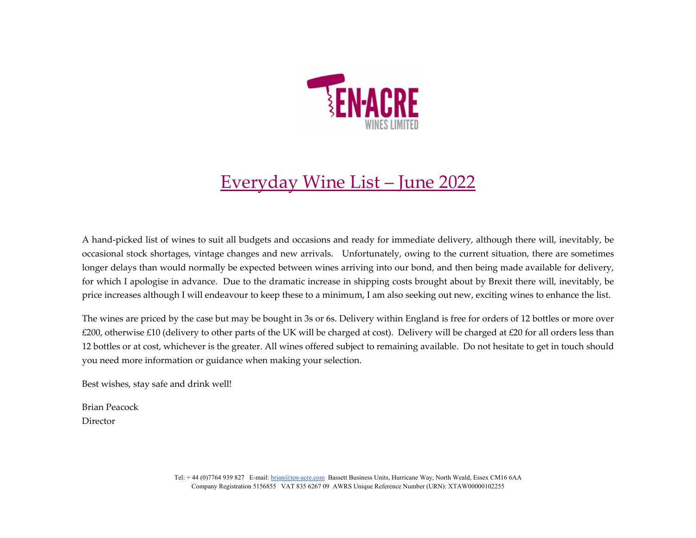

## Everyday Wine List – June 2022

A hand‐picked list of wines to suit all budgets and occasions and ready for immediate delivery, although there will, inevitably, be occasional stock shortages, vintage changes and new arrivals. Unfortunately, owing to the current situation, there are sometimes longer delays than would normally be expected between wines arriving into our bond, and then being made available for delivery, for which I apologise in advance. Due to the dramatic increase in shipping costs brought about by Brexit there will, inevitably, be price increases although I will endeavour to keep these to <sup>a</sup> minimum, I am also seeking out new, exciting wines to enhance the list.

The wines are priced by the case but may be bought in 3s or 6s. Delivery within England is free for orders of <sup>12</sup> bottles or more over £200, otherwise £10 (delivery to other parts of the UK will be charged at cost). Delivery will be charged at £20 for all orders less than 12 bottles or at cost, whichever is the greater. All wines offered subject to remaining available. Do not hesitate to ge<sup>t</sup> in touch should you need more information or guidance when making your selection.

Best wishes, stay safe and drink well!

Brian Peacock Director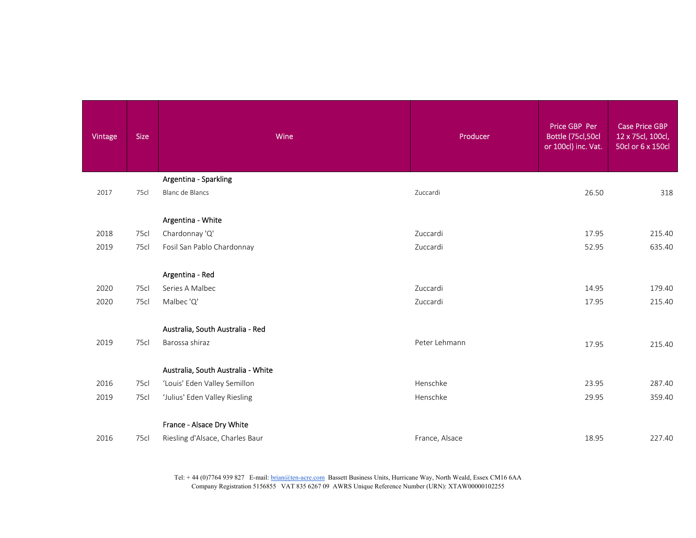| Vintage | <b>Size</b> | Wine                                               | Producer       | Price GBP Per<br>Bottle (75cl,50cl<br>or 100cl) inc. Vat. | <b>Case Price GBP</b><br>12 x 75cl, 100cl,<br>50cl or 6 x 150cl |
|---------|-------------|----------------------------------------------------|----------------|-----------------------------------------------------------|-----------------------------------------------------------------|
|         |             | Argentina - Sparkling                              |                |                                                           |                                                                 |
| 2017    | 75cl        | Blanc de Blancs                                    | Zuccardi       | 26.50                                                     | 318                                                             |
|         |             | Argentina - White                                  |                |                                                           |                                                                 |
| 2018    | 75cl        | Chardonnay 'Q'                                     | Zuccardi       | 17.95                                                     | 215.40                                                          |
| 2019    | 75cl        | Fosil San Pablo Chardonnay                         | Zuccardi       | 52.95                                                     | 635.40                                                          |
|         |             | Argentina - Red                                    |                |                                                           |                                                                 |
| 2020    | 75cl        | Series A Malbec                                    | Zuccardi       | 14.95                                                     | 179.40                                                          |
| 2020    | 75cl        | Malbec 'Q'                                         | Zuccardi       | 17.95                                                     | 215.40                                                          |
| 2019    | 75cl        | Australia, South Australia - Red<br>Barossa shiraz | Peter Lehmann  |                                                           |                                                                 |
|         |             |                                                    |                | 17.95                                                     | 215.40                                                          |
|         |             | Australia, South Australia - White                 |                |                                                           |                                                                 |
| 2016    | 75cl        | 'Louis' Eden Valley Semillon                       | Henschke       | 23.95                                                     | 287.40                                                          |
| 2019    | 75cl        | 'Julius' Eden Valley Riesling                      | Henschke       | 29.95                                                     | 359.40                                                          |
|         |             | France - Alsace Dry White                          |                |                                                           |                                                                 |
| 2016    | 75cl        | Riesling d'Alsace, Charles Baur                    | France, Alsace | 18.95                                                     | 227.40                                                          |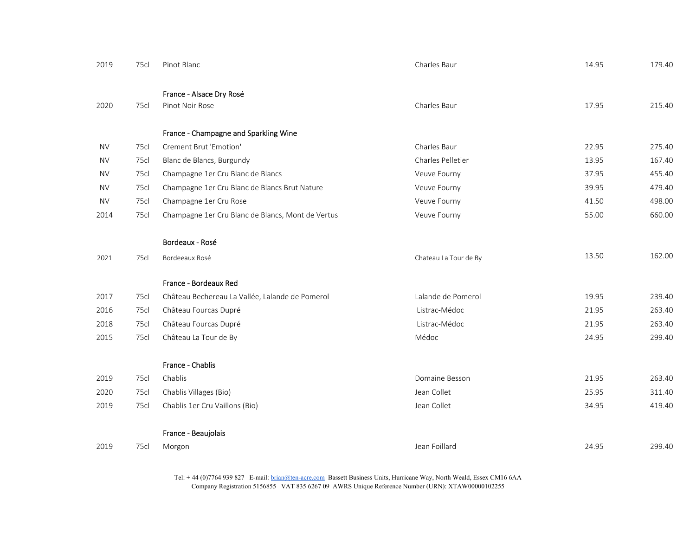| 2019      | 75cl | Pinot Blanc                                       | Charles Baur          | 14.95 | 179.40 |
|-----------|------|---------------------------------------------------|-----------------------|-------|--------|
|           |      |                                                   |                       |       |        |
|           |      | France - Alsace Dry Rosé                          |                       |       |        |
| 2020      | 75cl | Pinot Noir Rose                                   | Charles Baur          | 17.95 | 215.40 |
|           |      | France - Champagne and Sparkling Wine             |                       |       |        |
| <b>NV</b> | 75cl | Crement Brut 'Emotion'                            | Charles Baur          | 22.95 | 275.40 |
| <b>NV</b> | 75cl | Blanc de Blancs, Burgundy                         | Charles Pelletier     | 13.95 | 167.40 |
| <b>NV</b> | 75cl | Champagne 1er Cru Blanc de Blancs                 | Veuve Fourny          | 37.95 | 455.40 |
| <b>NV</b> | 75cl | Champagne 1er Cru Blanc de Blancs Brut Nature     | Veuve Fourny          | 39.95 | 479.40 |
| <b>NV</b> | 75cl | Champagne 1er Cru Rose                            | Veuve Fourny          | 41.50 | 498.00 |
| 2014      | 75cl | Champagne 1er Cru Blanc de Blancs, Mont de Vertus | Veuve Fourny          | 55.00 | 660.00 |
|           |      |                                                   |                       |       |        |
|           |      | Bordeaux - Rosé                                   |                       |       |        |
| 2021      | 75cl | Bordeeaux Rosé                                    | Chateau La Tour de By | 13.50 | 162.00 |
|           |      | France - Bordeaux Red                             |                       |       |        |
| 2017      | 75cl | Château Bechereau La Vallée, Lalande de Pomerol   | Lalande de Pomerol    | 19.95 | 239.40 |
| 2016      | 75cl | Château Fourcas Dupré                             | Listrac-Médoc         | 21.95 | 263.40 |
| 2018      | 75cl | Château Fourcas Dupré                             | Listrac-Médoc         | 21.95 | 263.40 |
| 2015      | 75cl | Château La Tour de By                             | Médoc                 | 24.95 | 299.40 |
|           |      |                                                   |                       |       |        |
|           |      | France - Chablis                                  |                       |       |        |
| 2019      | 75cl | Chablis                                           | Domaine Besson        | 21.95 | 263.40 |
| 2020      | 75cl | Chablis Villages (Bio)                            | Jean Collet           | 25.95 | 311.40 |
| 2019      | 75cl | Chablis 1er Cru Vaillons (Bio)                    | Jean Collet           | 34.95 | 419.40 |
|           |      | France - Beaujolais                               |                       |       |        |
| 2019      | 75cl | Morgon                                            | Jean Foillard         | 24.95 | 299.40 |
|           |      |                                                   |                       |       |        |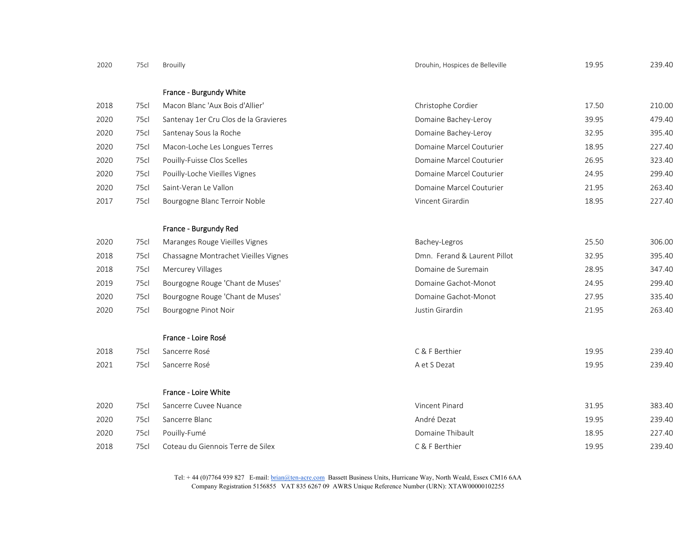| 2020 | 75cl | Brouilly                              | Drouhin, Hospices de Belleville | 19.95 | 239.40 |
|------|------|---------------------------------------|---------------------------------|-------|--------|
|      |      | France - Burgundy White               |                                 |       |        |
| 2018 | 75cl | Macon Blanc 'Aux Bois d'Allier'       | Christophe Cordier              | 17.50 | 210.00 |
| 2020 | 75cl | Santenay 1er Cru Clos de la Gravieres | Domaine Bachey-Leroy            | 39.95 | 479.40 |
| 2020 | 75cl | Santenay Sous la Roche                | Domaine Bachey-Leroy            | 32.95 | 395.40 |
| 2020 | 75cl | Macon-Loche Les Longues Terres        | Domaine Marcel Couturier        | 18.95 | 227.40 |
| 2020 | 75cl | Pouilly-Fuisse Clos Scelles           | Domaine Marcel Couturier        | 26.95 | 323.40 |
| 2020 | 75cl | Pouilly-Loche Vieilles Vignes         | Domaine Marcel Couturier        | 24.95 | 299.40 |
| 2020 | 75cl | Saint-Veran Le Vallon                 | Domaine Marcel Couturier        | 21.95 | 263.40 |
| 2017 | 75cl | Bourgogne Blanc Terroir Noble         | Vincent Girardin                | 18.95 | 227.40 |
|      |      |                                       |                                 |       |        |
|      |      | France - Burgundy Red                 |                                 |       |        |
| 2020 | 75cl | Maranges Rouge Vieilles Vignes        | Bachey-Legros                   | 25.50 | 306.00 |
| 2018 | 75cl | Chassagne Montrachet Vieilles Vignes  | Dmn. Ferand & Laurent Pillot    | 32.95 | 395.40 |
| 2018 | 75cl | Mercurey Villages                     | Domaine de Suremain             | 28.95 | 347.40 |
| 2019 | 75cl | Bourgogne Rouge 'Chant de Muses'      | Domaine Gachot-Monot            | 24.95 | 299.40 |
| 2020 | 75cl | Bourgogne Rouge 'Chant de Muses'      | Domaine Gachot-Monot            | 27.95 | 335.40 |
| 2020 | 75cl | Bourgogne Pinot Noir                  | Justin Girardin                 | 21.95 | 263.40 |
|      |      |                                       |                                 |       |        |
|      |      | France - Loire Rosé                   |                                 |       |        |
| 2018 | 75cl | Sancerre Rosé                         | C & F Berthier                  | 19.95 | 239.40 |
| 2021 | 75cl | Sancerre Rosé                         | A et S Dezat                    | 19.95 | 239.40 |
|      |      |                                       |                                 |       |        |
|      |      | France - Loire White                  |                                 |       |        |
| 2020 | 75cl | Sancerre Cuvee Nuance                 | Vincent Pinard                  | 31.95 | 383.40 |
| 2020 | 75cl | Sancerre Blanc                        | André Dezat                     | 19.95 | 239.40 |
| 2020 | 75cl | Pouilly-Fumé                          | Domaine Thibault                | 18.95 | 227.40 |
| 2018 | 75cl | Coteau du Giennois Terre de Silex     | C & F Berthier                  | 19.95 | 239.40 |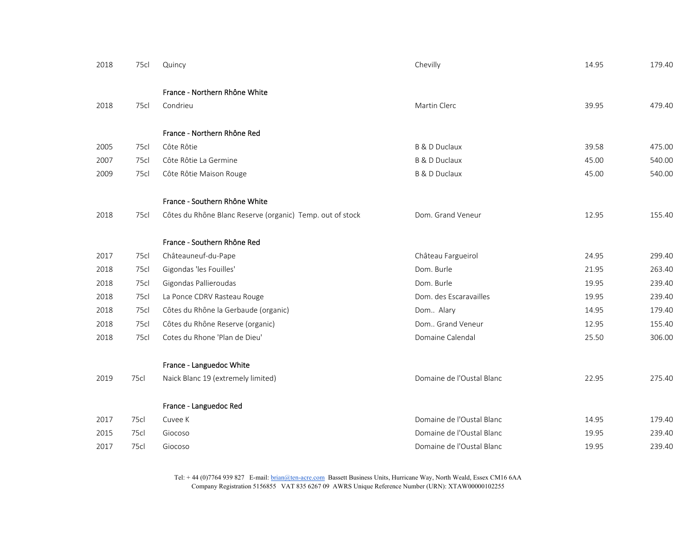| 2018 | 75cl | Quincy                                                    | Chevilly                  | 14.95 | 179.40 |
|------|------|-----------------------------------------------------------|---------------------------|-------|--------|
|      |      | France - Northern Rhône White                             |                           |       |        |
| 2018 | 75cl | Condrieu                                                  | Martin Clerc              | 39.95 | 479.40 |
|      |      |                                                           |                           |       |        |
|      |      | France - Northern Rhône Red                               |                           |       |        |
| 2005 | 75cl | Côte Rôtie                                                | <b>B &amp; D Duclaux</b>  | 39.58 | 475.00 |
| 2007 | 75cl | Côte Rôtie La Germine                                     | <b>B &amp; D Duclaux</b>  | 45.00 | 540.00 |
| 2009 | 75cl | Côte Rôtie Maison Rouge                                   | <b>B &amp; D Duclaux</b>  | 45.00 | 540.00 |
|      |      | France - Southern Rhône White                             |                           |       |        |
| 2018 | 75cl | Côtes du Rhône Blanc Reserve (organic) Temp. out of stock | Dom. Grand Veneur         | 12.95 | 155.40 |
|      |      | France - Southern Rhône Red                               |                           |       |        |
| 2017 | 75cl | Châteauneuf-du-Pape                                       | Château Fargueirol        | 24.95 | 299.40 |
| 2018 | 75cl | Gigondas 'les Fouilles'                                   | Dom. Burle                | 21.95 | 263.40 |
| 2018 | 75cl | Gigondas Pallieroudas                                     | Dom. Burle                | 19.95 | 239.40 |
| 2018 | 75cl | La Ponce CDRV Rasteau Rouge                               | Dom. des Escaravailles    | 19.95 | 239.40 |
| 2018 | 75cl | Côtes du Rhône la Gerbaude (organic)                      | Dom Alary                 | 14.95 | 179.40 |
| 2018 | 75cl | Côtes du Rhône Reserve (organic)                          | Dom Grand Veneur          | 12.95 | 155.40 |
| 2018 | 75cl | Cotes du Rhone 'Plan de Dieu'                             | Domaine Calendal          | 25.50 | 306.00 |
|      |      | France - Languedoc White                                  |                           |       |        |
| 2019 | 75cl | Naick Blanc 19 (extremely limited)                        | Domaine de l'Oustal Blanc | 22.95 | 275.40 |
|      |      | France - Languedoc Red                                    |                           |       |        |
| 2017 | 75cl | Cuvee K                                                   | Domaine de l'Oustal Blanc | 14.95 | 179.40 |
| 2015 | 75cl | Giocoso                                                   | Domaine de l'Oustal Blanc | 19.95 | 239.40 |
| 2017 | 75cl | Giocoso                                                   | Domaine de l'Oustal Blanc | 19.95 | 239.40 |
|      |      |                                                           |                           |       |        |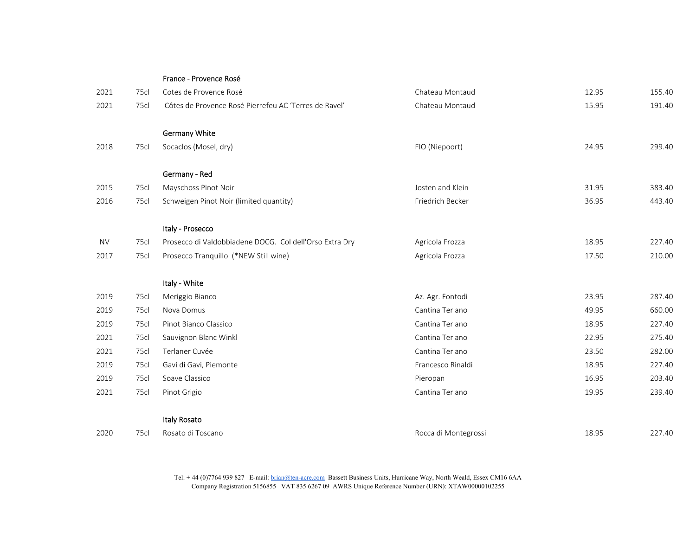|           |      | France - Provence Rosé                                  |                      |       |        |
|-----------|------|---------------------------------------------------------|----------------------|-------|--------|
| 2021      | 75cl | Cotes de Provence Rosé                                  | Chateau Montaud      | 12.95 | 155.40 |
| 2021      | 75cl | Côtes de Provence Rosé Pierrefeu AC 'Terres de Ravel'   | Chateau Montaud      | 15.95 | 191.40 |
|           |      | <b>Germany White</b>                                    |                      |       |        |
| 2018      | 75cl | Socaclos (Mosel, dry)                                   | FIO (Niepoort)       | 24.95 | 299.40 |
|           |      | Germany - Red                                           |                      |       |        |
| 2015      | 75cl | Mayschoss Pinot Noir                                    | Josten and Klein     | 31.95 | 383.40 |
| 2016      | 75cl | Schweigen Pinot Noir (limited quantity)                 | Friedrich Becker     | 36.95 | 443.40 |
|           |      | Italy - Prosecco                                        |                      |       |        |
| <b>NV</b> | 75cl | Prosecco di Valdobbiadene DOCG. Col dell'Orso Extra Dry | Agricola Frozza      | 18.95 | 227.40 |
| 2017      | 75cl | Prosecco Tranquillo (*NEW Still wine)                   | Agricola Frozza      | 17.50 | 210.00 |
|           |      | Italy - White                                           |                      |       |        |
| 2019      | 75cl | Meriggio Bianco                                         | Az. Agr. Fontodi     | 23.95 | 287.40 |
| 2019      | 75cl | Nova Domus                                              | Cantina Terlano      | 49.95 | 660.00 |
| 2019      | 75cl | Pinot Bianco Classico                                   | Cantina Terlano      | 18.95 | 227.40 |
| 2021      | 75cl | Sauvignon Blanc Winkl                                   | Cantina Terlano      | 22.95 | 275.40 |
| 2021      | 75cl | Terlaner Cuvée                                          | Cantina Terlano      | 23.50 | 282.00 |
| 2019      | 75cl | Gavi di Gavi, Piemonte                                  | Francesco Rinaldi    | 18.95 | 227.40 |
| 2019      | 75cl | Soave Classico                                          | Pieropan             | 16.95 | 203.40 |
| 2021      | 75cl | Pinot Grigio                                            | Cantina Terlano      | 19.95 | 239.40 |
|           |      | Italy Rosato                                            |                      |       |        |
| 2020      | 75cl | Rosato di Toscano                                       | Rocca di Montegrossi | 18.95 | 227.40 |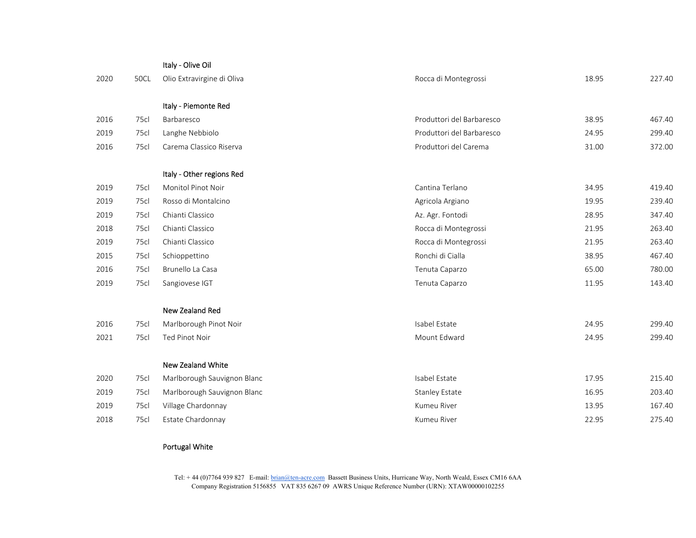|      |      | Italy - Olive Oil           |                           |       |        |
|------|------|-----------------------------|---------------------------|-------|--------|
| 2020 | 50CL | Olio Extravirgine di Oliva  | Rocca di Montegrossi      | 18.95 | 227.40 |
|      |      |                             |                           |       |        |
|      |      | Italy - Piemonte Red        |                           |       |        |
| 2016 | 75cl | Barbaresco                  | Produttori del Barbaresco | 38.95 | 467.40 |
| 2019 | 75cl | Langhe Nebbiolo             | Produttori del Barbaresco | 24.95 | 299.40 |
| 2016 | 75cl | Carema Classico Riserva     | Produttori del Carema     | 31.00 | 372.00 |
|      |      |                             |                           |       |        |
|      |      | Italy - Other regions Red   |                           |       |        |
| 2019 | 75cl | Monitol Pinot Noir          | Cantina Terlano           | 34.95 | 419.40 |
| 2019 | 75cl | Rosso di Montalcino         | Agricola Argiano          | 19.95 | 239.40 |
| 2019 | 75cl | Chianti Classico            | Az. Agr. Fontodi          | 28.95 | 347.40 |
| 2018 | 75cl | Chianti Classico            | Rocca di Montegrossi      | 21.95 | 263.40 |
| 2019 | 75cl | Chianti Classico            | Rocca di Montegrossi      | 21.95 | 263.40 |
| 2015 | 75cl | Schioppettino               | Ronchi di Cialla          | 38.95 | 467.40 |
| 2016 | 75cl | Brunello La Casa            | Tenuta Caparzo            | 65.00 | 780.00 |
| 2019 | 75cl | Sangiovese IGT              | Tenuta Caparzo            | 11.95 | 143.40 |
|      |      | <b>New Zealand Red</b>      |                           |       |        |
| 2016 | 75cl | Marlborough Pinot Noir      | Isabel Estate             | 24.95 | 299.40 |
| 2021 | 75cl | Ted Pinot Noir              | Mount Edward              | 24.95 | 299.40 |
|      |      |                             |                           |       |        |
|      |      | New Zealand White           |                           |       |        |
| 2020 | 75cl | Marlborough Sauvignon Blanc | Isabel Estate             | 17.95 | 215.40 |
| 2019 | 75cl | Marlborough Sauvignon Blanc | <b>Stanley Estate</b>     | 16.95 | 203.40 |
| 2019 | 75cl | Village Chardonnay          | Kumeu River               | 13.95 | 167.40 |
| 2018 | 75cl | Estate Chardonnay           | Kumeu River               | 22.95 | 275.40 |
|      |      |                             |                           |       |        |

## Portugal White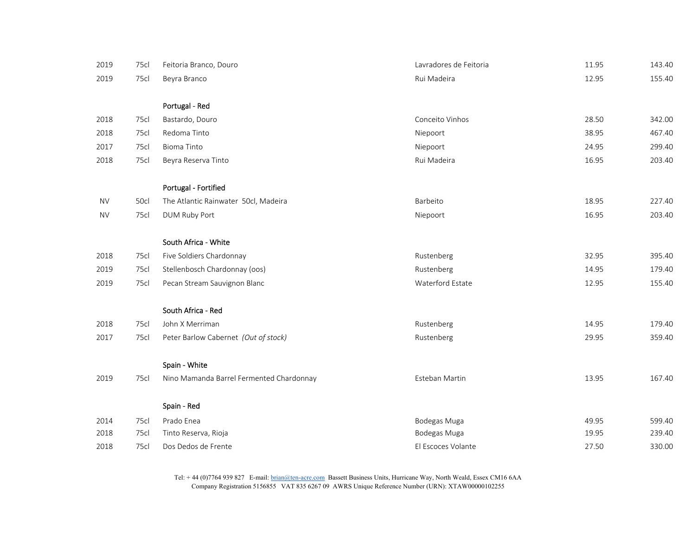| 2019      | 75cl | Feitoria Branco, Douro                   | Lavradores de Feitoria | 11.95 | 143.40 |
|-----------|------|------------------------------------------|------------------------|-------|--------|
| 2019      | 75cl | Beyra Branco                             | Rui Madeira            | 12.95 | 155.40 |
|           |      |                                          |                        |       |        |
|           |      | Portugal - Red                           |                        |       |        |
| 2018      | 75cl | Bastardo, Douro                          | Conceito Vinhos        | 28.50 | 342.00 |
| 2018      | 75cl | Redoma Tinto                             | Niepoort               | 38.95 | 467.40 |
| 2017      | 75cl | <b>Bioma Tinto</b>                       | Niepoort               | 24.95 | 299.40 |
| 2018      | 75cl | Beyra Reserva Tinto                      | Rui Madeira            | 16.95 | 203.40 |
|           |      | Portugal - Fortified                     |                        |       |        |
| <b>NV</b> | 50cl | The Atlantic Rainwater 50cl, Madeira     | Barbeito               | 18.95 | 227.40 |
| <b>NV</b> | 75cl | DUM Ruby Port                            | Niepoort               | 16.95 | 203.40 |
|           |      | South Africa - White                     |                        |       |        |
| 2018      | 75cl | Five Soldiers Chardonnay                 | Rustenberg             | 32.95 | 395.40 |
| 2019      | 75cl | Stellenbosch Chardonnay (oos)            | Rustenberg             | 14.95 | 179.40 |
| 2019      | 75cl | Pecan Stream Sauvignon Blanc             | Waterford Estate       | 12.95 | 155.40 |
|           |      | South Africa - Red                       |                        |       |        |
| 2018      | 75cl | John X Merriman                          | Rustenberg             | 14.95 | 179.40 |
| 2017      | 75cl | Peter Barlow Cabernet (Out of stock)     | Rustenberg             | 29.95 | 359.40 |
|           |      | Spain - White                            |                        |       |        |
| 2019      | 75cl | Nino Mamanda Barrel Fermented Chardonnay | Esteban Martin         | 13.95 | 167.40 |
|           |      | Spain - Red                              |                        |       |        |
| 2014      | 75cl | Prado Enea                               | Bodegas Muga           | 49.95 | 599.40 |
| 2018      | 75cl | Tinto Reserva, Rioja                     | Bodegas Muga           | 19.95 | 239.40 |
| 2018      | 75cl | Dos Dedos de Frente                      | El Escoces Volante     | 27.50 | 330.00 |